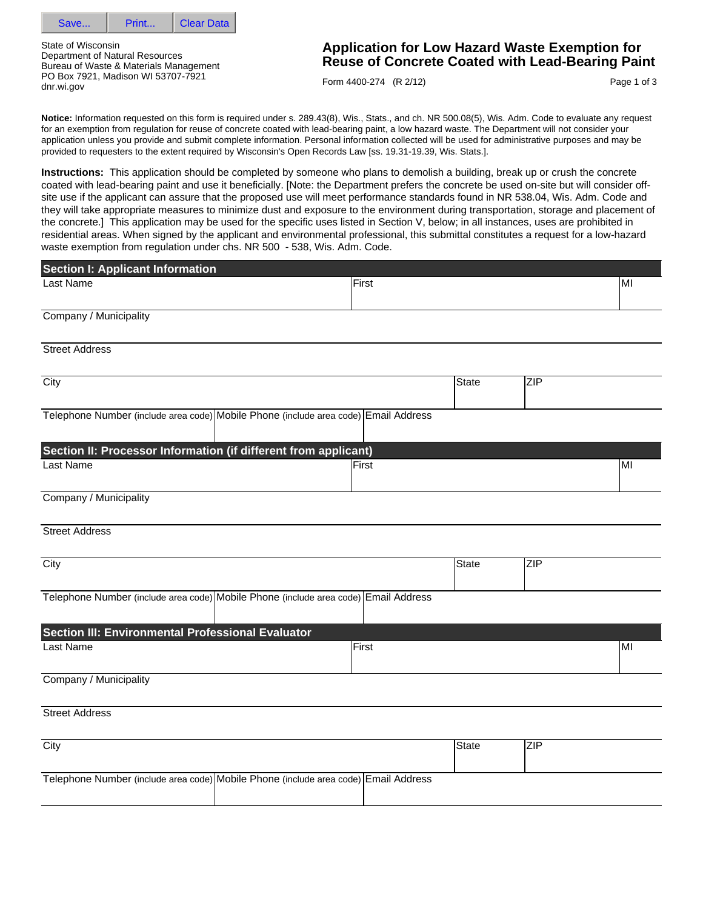

State of Wisconsin Department of Natural Resources Bureau of Waste & Materials Management PO Box 7921, Madison WI 53707-7921 dnr.wi.gov

# **Application for Low Hazard Waste Exemption for Reuse of Concrete Coated with Lead-Bearing Paint**

Form 4400-274 (R 2/12)

Page 1 of 3

**Notice:** Information requested on this form is required under s. 289.43(8), Wis., Stats., and ch. NR 500.08(5), Wis. Adm. Code to evaluate any request for an exemption from regulation for reuse of concrete coated with lead-bearing paint, a low hazard waste. The Department will not consider your application unless you provide and submit complete information. Personal information collected will be used for administrative purposes and may be provided to requesters to the extent required by Wisconsin's Open Records Law [ss. 19.31-19.39, Wis. Stats.].

**Instructions:** This application should be completed by someone who plans to demolish a building, break up or crush the concrete coated with lead-bearing paint and use it beneficially. [Note: the Department prefers the concrete be used on-site but will consider offsite use if the applicant can assure that the proposed use will meet performance standards found in NR 538.04, Wis. Adm. Code and they will take appropriate measures to minimize dust and exposure to the environment during transportation, storage and placement of the concrete.] This application may be used for the specific uses listed in Section V, below; in all instances, uses are prohibited in residential areas. When signed by the applicant and environmental professional, this submittal constitutes a request for a low-hazard waste exemption from regulation under chs. NR 500 - 538, Wis. Adm. Code.

| <b>Section I: Applicant Information</b>                                             |       |              |            |     |
|-------------------------------------------------------------------------------------|-------|--------------|------------|-----|
| Last Name                                                                           | First |              |            | MI  |
|                                                                                     |       |              |            |     |
| Company / Municipality                                                              |       |              |            |     |
| <b>Street Address</b>                                                               |       |              |            |     |
| $\overline{City}$                                                                   |       | <b>State</b> | ZIP        |     |
| Telephone Number (include area code) Mobile Phone (include area code) Email Address |       |              |            |     |
| Section II: Processor Information (if different from applicant)                     |       |              |            |     |
| <b>Last Name</b>                                                                    | First |              |            | lMI |
| Company / Municipality                                                              |       |              |            |     |
| <b>Street Address</b>                                                               |       |              |            |     |
| City                                                                                |       | State        | <b>ZIP</b> |     |
| Telephone Number (include area code) Mobile Phone (include area code) Email Address |       |              |            |     |
| Section III: Environmental Professional Evaluator                                   |       |              |            |     |
| Last Name                                                                           | First |              |            | MI  |
| Company / Municipality                                                              |       |              |            |     |
| <b>Street Address</b>                                                               |       |              |            |     |
| $\overline{City}$                                                                   |       | State        | <b>ZIP</b> |     |
| Telephone Number (include area code) Mobile Phone (include area code) Email Address |       |              |            |     |
|                                                                                     |       |              |            |     |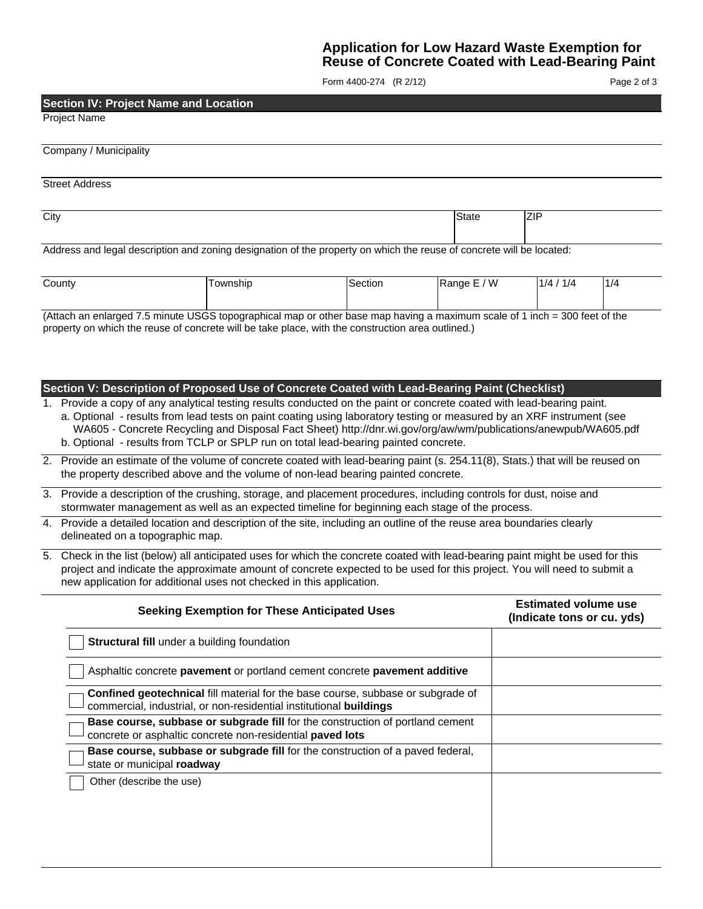## **Application for Low Hazard Waste Exemption for Reuse of Concrete Coated with Lead-Bearing Paint**

Form 4400-274 (R 2/12)

Page 2 of 3

#### **Section IV: Project Name and Location**

Project Name

| Company / Municipality |  |
|------------------------|--|
| <b>Street Address</b>  |  |

| City | - - - - - - | . |
|------|-------------|---|
|      |             |   |

Address and legal description and zoning designation of the property on which the reuse of concrete will be located:

(Attach an enlarged 7.5 minute USGS topographical map or other base map having a maximum scale of 1 inch = 300 feet of the property on which the reuse of concrete will be take place, with the construction area outlined.)

#### **Section V: Description of Proposed Use of Concrete Coated with Lead-Bearing Paint (Checklist)**

1. Provide a copy of any analytical testing results conducted on the paint or concrete coated with lead-bearing paint.

- a. Optional results from lead tests on paint coating using laboratory testing or measured by an XRF instrument (see WA605 - Concrete Recycling and Disposal Fact Sheet) http://dnr.wi.gov/org/aw/wm/publications/anewpub/WA605.pdf b. Optional - results from TCLP or SPLP run on total lead-bearing painted concrete.
- 2. Provide an estimate of the volume of concrete coated with lead-bearing paint (s. 254.11(8), Stats.) that will be reused on the property described above and the volume of non-lead bearing painted concrete.
- 3. Provide a description of the crushing, storage, and placement procedures, including controls for dust, noise and stormwater management as well as an expected timeline for beginning each stage of the process.
- 4. Provide a detailed location and description of the site, including an outline of the reuse area boundaries clearly delineated on a topographic map.
- 5. Check in the list (below) all anticipated uses for which the concrete coated with lead-bearing paint might be used for this project and indicate the approximate amount of concrete expected to be used for this project. You will need to submit a new application for additional uses not checked in this application.

| <b>Seeking Exemption for These Anticipated Uses</b>                                                                                                                 | <b>Estimated volume use</b><br>(Indicate tons or cu. yds) |
|---------------------------------------------------------------------------------------------------------------------------------------------------------------------|-----------------------------------------------------------|
| Structural fill under a building foundation                                                                                                                         |                                                           |
| Asphaltic concrete pavement or portland cement concrete pavement additive                                                                                           |                                                           |
| <b>Confined geotechnical fill material for the base course, subbase or subgrade of</b><br>commercial, industrial, or non-residential institutional <b>buildings</b> |                                                           |
| Base course, subbase or subgrade fill for the construction of portland cement<br>concrete or asphaltic concrete non-residential paved lots                          |                                                           |
| Base course, subbase or subgrade fill for the construction of a paved federal,<br>state or municipal roadway                                                        |                                                           |
| Other (describe the use)                                                                                                                                            |                                                           |
|                                                                                                                                                                     |                                                           |
|                                                                                                                                                                     |                                                           |
|                                                                                                                                                                     |                                                           |